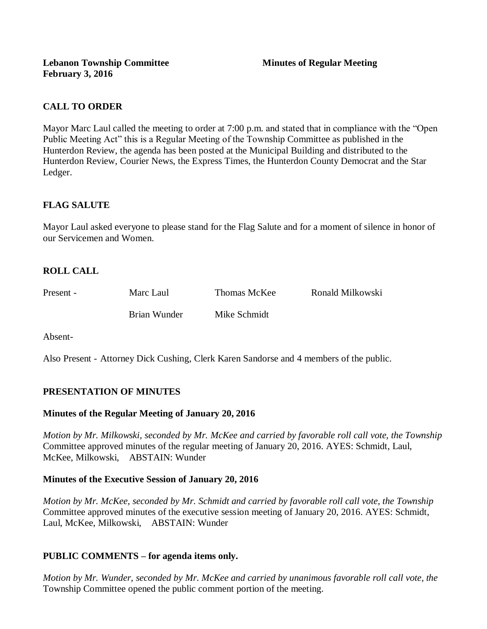# **CALL TO ORDER**

Mayor Marc Laul called the meeting to order at 7:00 p.m. and stated that in compliance with the "Open Public Meeting Act" this is a Regular Meeting of the Township Committee as published in the Hunterdon Review, the agenda has been posted at the Municipal Building and distributed to the Hunterdon Review, Courier News, the Express Times, the Hunterdon County Democrat and the Star Ledger.

## **FLAG SALUTE**

Mayor Laul asked everyone to please stand for the Flag Salute and for a moment of silence in honor of our Servicemen and Women.

# **ROLL CALL**

| Present - | Marc Laul    | Thomas McKee | Ronald Milkowski |
|-----------|--------------|--------------|------------------|
|           | Brian Wunder | Mike Schmidt |                  |

Absent-

Also Present - Attorney Dick Cushing, Clerk Karen Sandorse and 4 members of the public.

### **PRESENTATION OF MINUTES**

#### **Minutes of the Regular Meeting of January 20, 2016**

*Motion by Mr. Milkowski, seconded by Mr. McKee and carried by favorable roll call vote, the Township* Committee approved minutes of the regular meeting of January 20, 2016. AYES: Schmidt, Laul, McKee, Milkowski, ABSTAIN: Wunder

#### **Minutes of the Executive Session of January 20, 2016**

*Motion by Mr. McKee, seconded by Mr. Schmidt and carried by favorable roll call vote, the Township* Committee approved minutes of the executive session meeting of January 20, 2016. AYES: Schmidt, Laul, McKee, Milkowski, ABSTAIN: Wunder

### **PUBLIC COMMENTS – for agenda items only.**

*Motion by Mr. Wunder, seconded by Mr. McKee and carried by unanimous favorable roll call vote, the* Township Committee opened the public comment portion of the meeting.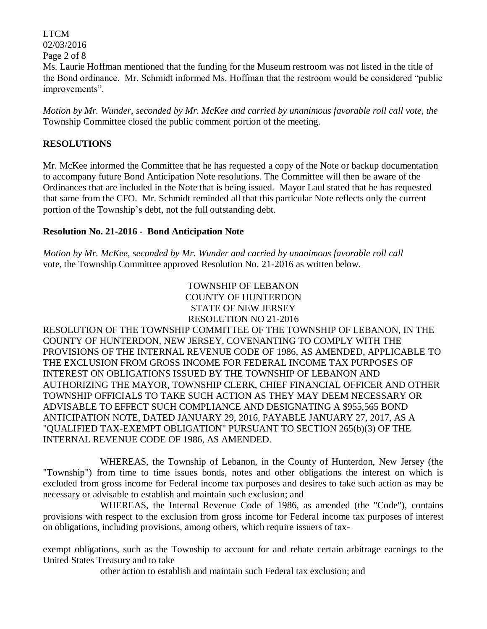LTCM 02/03/2016 Page 2 of 8 Ms. Laurie Hoffman mentioned that the funding for the Museum restroom was not listed in the title of the Bond ordinance. Mr. Schmidt informed Ms. Hoffman that the restroom would be considered "public improvements".

*Motion by Mr. Wunder, seconded by Mr. McKee and carried by unanimous favorable roll call vote, the* Township Committee closed the public comment portion of the meeting.

### **RESOLUTIONS**

Mr. McKee informed the Committee that he has requested a copy of the Note or backup documentation to accompany future Bond Anticipation Note resolutions. The Committee will then be aware of the Ordinances that are included in the Note that is being issued. Mayor Laul stated that he has requested that same from the CFO. Mr. Schmidt reminded all that this particular Note reflects only the current portion of the Township's debt, not the full outstanding debt.

### **Resolution No. 21-2016 - Bond Anticipation Note**

*Motion by Mr. McKee, seconded by Mr. Wunder and carried by unanimous favorable roll call*  vote, the Township Committee approved Resolution No. 21-2016 as written below.

> TOWNSHIP OF LEBANON COUNTY OF HUNTERDON STATE OF NEW JERSEY RESOLUTION NO 21-2016

RESOLUTION OF THE TOWNSHIP COMMITTEE OF THE TOWNSHIP OF LEBANON, IN THE COUNTY OF HUNTERDON, NEW JERSEY, COVENANTING TO COMPLY WITH THE PROVISIONS OF THE INTERNAL REVENUE CODE OF 1986, AS AMENDED, APPLICABLE TO THE EXCLUSION FROM GROSS INCOME FOR FEDERAL INCOME TAX PURPOSES OF INTEREST ON OBLIGATIONS ISSUED BY THE TOWNSHIP OF LEBANON AND AUTHORIZING THE MAYOR, TOWNSHIP CLERK, CHIEF FINANCIAL OFFICER AND OTHER TOWNSHIP OFFICIALS TO TAKE SUCH ACTION AS THEY MAY DEEM NECESSARY OR ADVISABLE TO EFFECT SUCH COMPLIANCE AND DESIGNATING A \$955,565 BOND ANTICIPATION NOTE, DATED JANUARY 29, 2016, PAYABLE JANUARY 27, 2017, AS A "QUALIFIED TAX-EXEMPT OBLIGATION" PURSUANT TO SECTION 265(b)(3) OF THE INTERNAL REVENUE CODE OF 1986, AS AMENDED.

WHEREAS, the Township of Lebanon, in the County of Hunterdon, New Jersey (the "Township") from time to time issues bonds, notes and other obligations the interest on which is excluded from gross income for Federal income tax purposes and desires to take such action as may be necessary or advisable to establish and maintain such exclusion; and

WHEREAS, the Internal Revenue Code of 1986, as amended (the "Code"), contains provisions with respect to the exclusion from gross income for Federal income tax purposes of interest on obligations, including provisions, among others, which require issuers of tax-

exempt obligations, such as the Township to account for and rebate certain arbitrage earnings to the United States Treasury and to take

other action to establish and maintain such Federal tax exclusion; and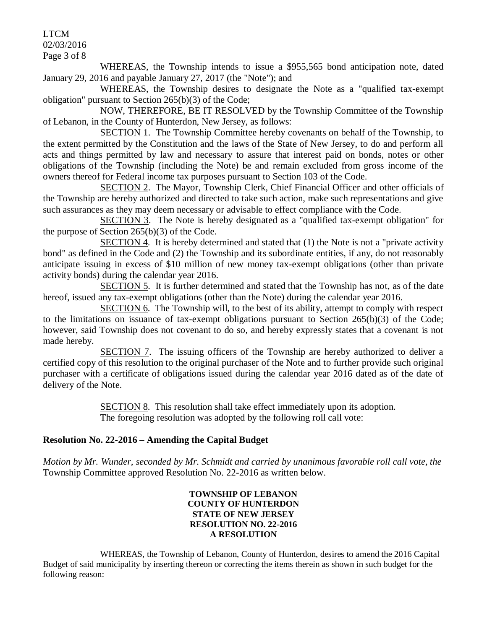# LTCM

02/03/2016

Page 3 of 8

WHEREAS, the Township intends to issue a \$955,565 bond anticipation note, dated January 29, 2016 and payable January 27, 2017 (the "Note"); and

WHEREAS, the Township desires to designate the Note as a "qualified tax-exempt obligation" pursuant to Section 265(b)(3) of the Code;

NOW, THEREFORE, BE IT RESOLVED by the Township Committee of the Township of Lebanon, in the County of Hunterdon, New Jersey, as follows:

SECTION 1. The Township Committee hereby covenants on behalf of the Township, to the extent permitted by the Constitution and the laws of the State of New Jersey, to do and perform all acts and things permitted by law and necessary to assure that interest paid on bonds, notes or other obligations of the Township (including the Note) be and remain excluded from gross income of the owners thereof for Federal income tax purposes pursuant to Section 103 of the Code.

SECTION 2. The Mayor, Township Clerk, Chief Financial Officer and other officials of the Township are hereby authorized and directed to take such action, make such representations and give such assurances as they may deem necessary or advisable to effect compliance with the Code.

SECTION 3. The Note is hereby designated as a "qualified tax-exempt obligation" for the purpose of Section 265(b)(3) of the Code.

SECTION 4. It is hereby determined and stated that (1) the Note is not a "private activity bond" as defined in the Code and (2) the Township and its subordinate entities, if any, do not reasonably anticipate issuing in excess of \$10 million of new money tax-exempt obligations (other than private activity bonds) during the calendar year 2016.

SECTION 5. It is further determined and stated that the Township has not, as of the date hereof, issued any tax-exempt obligations (other than the Note) during the calendar year 2016.

SECTION 6. The Township will, to the best of its ability, attempt to comply with respect to the limitations on issuance of tax-exempt obligations pursuant to Section 265(b)(3) of the Code; however, said Township does not covenant to do so, and hereby expressly states that a covenant is not made hereby.

SECTION 7. The issuing officers of the Township are hereby authorized to deliver a certified copy of this resolution to the original purchaser of the Note and to further provide such original purchaser with a certificate of obligations issued during the calendar year 2016 dated as of the date of delivery of the Note.

> SECTION 8. This resolution shall take effect immediately upon its adoption. The foregoing resolution was adopted by the following roll call vote:

# **Resolution No. 22-2016 – Amending the Capital Budget**

*Motion by Mr. Wunder, seconded by Mr. Schmidt and carried by unanimous favorable roll call vote, the* Township Committee approved Resolution No. 22-2016 as written below.

> **TOWNSHIP OF LEBANON COUNTY OF HUNTERDON STATE OF NEW JERSEY RESOLUTION NO. 22-2016 A RESOLUTION**

WHEREAS, the Township of Lebanon, County of Hunterdon, desires to amend the 2016 Capital Budget of said municipality by inserting thereon or correcting the items therein as shown in such budget for the following reason: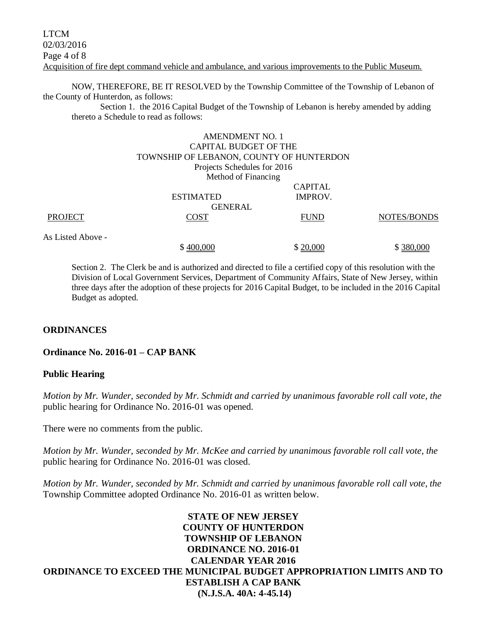NOW, THEREFORE, BE IT RESOLVED by the Township Committee of the Township of Lebanon of the County of Hunterdon, as follows:

Section 1. the 2016 Capital Budget of the Township of Lebanon is hereby amended by adding thereto a Schedule to read as follows:

### AMENDMENT NO. 1 CAPITAL BUDGET OF THE TOWNSHIP OF LEBANON, COUNTY OF HUNTERDON Projects Schedules for 2016 Method of Financing CAPITAL ESTIMATED IMPROV. GENERAL PROJECT COST COST FUND NOTES/BONDS As Listed Above -  $$400,000$   $$20,000$   $$380,000$

Section 2. The Clerk be and is authorized and directed to file a certified copy of this resolution with the Division of Local Government Services, Department of Community Affairs, State of New Jersey, within three days after the adoption of these projects for 2016 Capital Budget, to be included in the 2016 Capital Budget as adopted.

#### **ORDINANCES**

#### **Ordinance No. 2016-01 – CAP BANK**

#### **Public Hearing**

*Motion by Mr. Wunder, seconded by Mr. Schmidt and carried by unanimous favorable roll call vote, the* public hearing for Ordinance No. 2016-01 was opened.

There were no comments from the public*.*

*Motion by Mr. Wunder, seconded by Mr. McKee and carried by unanimous favorable roll call vote, the* public hearing for Ordinance No. 2016-01 was closed.

*Motion by Mr. Wunder, seconded by Mr. Schmidt and carried by unanimous favorable roll call vote, the* Township Committee adopted Ordinance No. 2016-01 as written below.

**STATE OF NEW JERSEY COUNTY OF HUNTERDON TOWNSHIP OF LEBANON ORDINANCE NO. 2016-01 CALENDAR YEAR 2016 ORDINANCE TO EXCEED THE MUNICIPAL BUDGET APPROPRIATION LIMITS AND TO ESTABLISH A CAP BANK (N.J.S.A. 40A: 4-45.14)**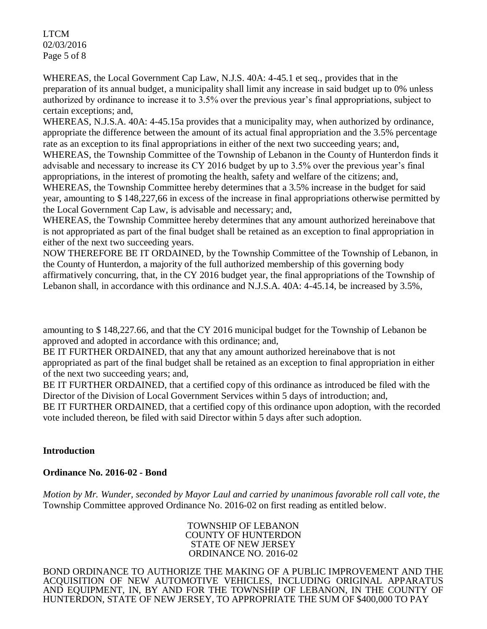LTCM 02/03/2016 Page 5 of 8

WHEREAS, the Local Government Cap Law, N.J.S. 40A: 4-45.1 et seq., provides that in the preparation of its annual budget, a municipality shall limit any increase in said budget up to 0% unless authorized by ordinance to increase it to 3.5% over the previous year's final appropriations, subject to certain exceptions; and,

WHEREAS, N.J.S.A. 40A: 4-45.15a provides that a municipality may, when authorized by ordinance, appropriate the difference between the amount of its actual final appropriation and the 3.5% percentage rate as an exception to its final appropriations in either of the next two succeeding years; and, WHEREAS, the Township Committee of the Township of Lebanon in the County of Hunterdon finds it advisable and necessary to increase its CY 2016 budget by up to 3.5% over the previous year's final

appropriations, in the interest of promoting the health, safety and welfare of the citizens; and, WHEREAS, the Township Committee hereby determines that a 3.5% increase in the budget for said year, amounting to \$ 148,227,66 in excess of the increase in final appropriations otherwise permitted by the Local Government Cap Law, is advisable and necessary; and,

WHEREAS, the Township Committee hereby determines that any amount authorized hereinabove that is not appropriated as part of the final budget shall be retained as an exception to final appropriation in either of the next two succeeding years.

NOW THEREFORE BE IT ORDAINED, by the Township Committee of the Township of Lebanon, in the County of Hunterdon, a majority of the full authorized membership of this governing body affirmatively concurring, that, in the CY 2016 budget year, the final appropriations of the Township of Lebanon shall, in accordance with this ordinance and N.J.S.A. 40A: 4-45.14, be increased by 3.5%,

amounting to \$ 148,227.66, and that the CY 2016 municipal budget for the Township of Lebanon be approved and adopted in accordance with this ordinance; and,

BE IT FURTHER ORDAINED, that any that any amount authorized hereinabove that is not appropriated as part of the final budget shall be retained as an exception to final appropriation in either of the next two succeeding years; and,

BE IT FURTHER ORDAINED, that a certified copy of this ordinance as introduced be filed with the Director of the Division of Local Government Services within 5 days of introduction; and,

BE IT FURTHER ORDAINED, that a certified copy of this ordinance upon adoption, with the recorded vote included thereon, be filed with said Director within 5 days after such adoption.

# **Introduction**

### **Ordinance No. 2016-02 - Bond**

*Motion by Mr. Wunder, seconded by Mayor Laul and carried by unanimous favorable roll call vote*, *the*  Township Committee approved Ordinance No. 2016-02 on first reading as entitled below.

> TOWNSHIP OF LEBANON COUNTY OF HUNTERDON STATE OF NEW JERSEY ORDINANCE NO. 2016-02

BOND ORDINANCE TO AUTHORIZE THE MAKING OF A PUBLIC IMPROVEMENT AND THE ACQUISITION OF NEW AUTOMOTIVE VEHICLES, INCLUDING ORIGINAL APPARATUS AND EQUIPMENT, IN, BY AND FOR THE TOWNSHIP OF LEBANON, IN THE COUNTY OF HUNTERDON, STATE OF NEW JERSEY, TO APPROPRIATE THE SUM OF \$400,000 TO PAY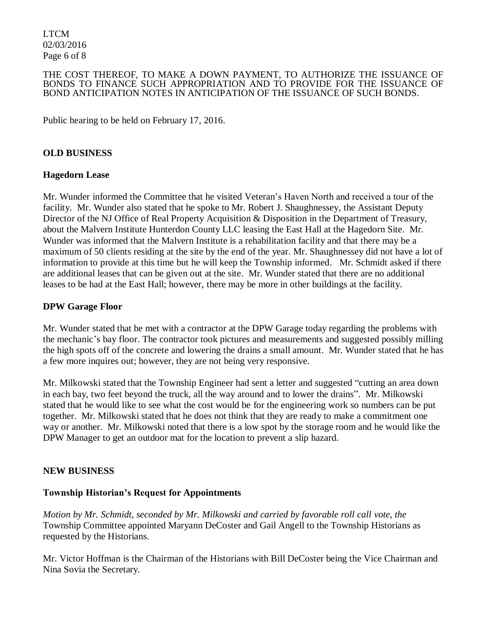LTCM 02/03/2016 Page 6 of 8

#### THE COST THEREOF, TO MAKE A DOWN PAYMENT, TO AUTHORIZE THE ISSUANCE OF BONDS TO FINANCE SUCH APPROPRIATION AND TO PROVIDE FOR THE ISSUANCE OF BOND ANTICIPATION NOTES IN ANTICIPATION OF THE ISSUANCE OF SUCH BONDS.

Public hearing to be held on February 17, 2016.

#### **OLD BUSINESS**

#### **Hagedorn Lease**

Mr. Wunder informed the Committee that he visited Veteran's Haven North and received a tour of the facility. Mr. Wunder also stated that he spoke to Mr. Robert J. Shaughnessey, the Assistant Deputy Director of the NJ Office of Real Property Acquisition & Disposition in the Department of Treasury, about the Malvern Institute Hunterdon County LLC leasing the East Hall at the Hagedorn Site. Mr. Wunder was informed that the Malvern Institute is a rehabilitation facility and that there may be a maximum of 50 clients residing at the site by the end of the year. Mr. Shaughnessey did not have a lot of information to provide at this time but he will keep the Township informed. Mr. Schmidt asked if there are additional leases that can be given out at the site. Mr. Wunder stated that there are no additional leases to be had at the East Hall; however, there may be more in other buildings at the facility.

#### **DPW Garage Floor**

Mr. Wunder stated that he met with a contractor at the DPW Garage today regarding the problems with the mechanic's bay floor. The contractor took pictures and measurements and suggested possibly milling the high spots off of the concrete and lowering the drains a small amount. Mr. Wunder stated that he has a few more inquires out; however, they are not being very responsive.

Mr. Milkowski stated that the Township Engineer had sent a letter and suggested "cutting an area down in each bay, two feet beyond the truck, all the way around and to lower the drains". Mr. Milkowski stated that he would like to see what the cost would be for the engineering work so numbers can be put together. Mr. Milkowski stated that he does not think that they are ready to make a commitment one way or another. Mr. Milkowski noted that there is a low spot by the storage room and he would like the DPW Manager to get an outdoor mat for the location to prevent a slip hazard.

#### **NEW BUSINESS**

#### **Township Historian's Request for Appointments**

*Motion by Mr. Schmidt, seconded by Mr. Milkowski and carried by favorable roll call vote*, *the*  Township Committee appointed Maryann DeCoster and Gail Angell to the Township Historians as requested by the Historians.

Mr. Victor Hoffman is the Chairman of the Historians with Bill DeCoster being the Vice Chairman and Nina Sovia the Secretary.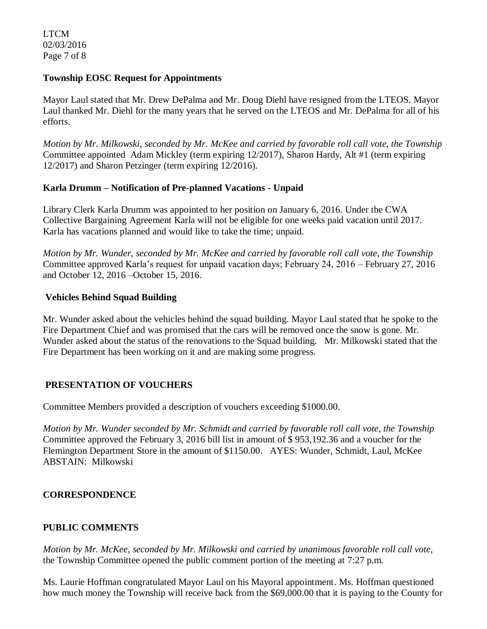LTCM 02/03/2016 Page 7 of 8

#### **Township EOSC Request for Appointments**

Mayor Laul stated that Mr. Drew DePalma and Mr. Doug Diehl have resigned from the LTEOS. Mayor Laul thanked Mr. Diehl for the many years that he served on the LTEOS and Mr. DePalma for all of his efforts.

*Motion by Mr. Milkowski, seconded by Mr. McKee and carried by favorable roll call vote*, *the Township* Committee appointed Adam Mickley (term expiring 12/2017), Sharon Hardy, Alt #1 (term expiring 12/2017) and Sharon Petzinger (term expiring 12/2016).

### **Karla Drumm – Notification of Pre-planned Vacations - Unpaid**

Library Clerk Karla Drumm was appointed to her position on January 6, 2016. Under the CWA Collective Bargaining Agreement Karla will not be eligible for one weeks paid vacation until 2017. Karla has vacations planned and would like to take the time; unpaid.

*Motion by Mr. Wunder, seconded by Mr. McKee and carried by favorable roll call vote, the Township* Committee approved Karla's request for unpaid vacation days; February 24, 2016 – February 27, 2016 and October 12, 2016 –October 15, 2016.

### **Vehicles Behind Squad Building**

Mr. Wunder asked about the vehicles behind the squad building. Mayor Laul stated that he spoke to the Fire Department Chief and was promised that the cars will be removed once the snow is gone. Mr. Wunder asked about the status of the renovations to the Squad building. Mr. Milkowski stated that the Fire Department has been working on it and are making some progress.

### **PRESENTATION OF VOUCHERS**

Committee Members provided a description of vouchers exceeding \$1000.00.

*Motion by Mr. Wunder seconded by Mr. Schmidt and carried by favorable roll call vote, the Township*  Committee approved the February 3, 2016 bill list in amount of \$ 953,192.36 and a voucher for the Flemington Department Store in the amount of \$1150.00. AYES: Wunder, Schmidt, Laul, McKee ABSTAIN: Milkowski

### **CORRESPONDENCE**

### **PUBLIC COMMENTS**

*Motion by Mr. McKee, seconded by Mr. Milkowski and carried by unanimous favorable roll call vote,* the Township Committee opened the public comment portion of the meeting at 7:27 p.m.

Ms. Laurie Hoffman congratulated Mayor Laul on his Mayoral appointment. Ms. Hoffman questioned how much money the Township will receive back from the \$69,000.00 that it is paying to the County for